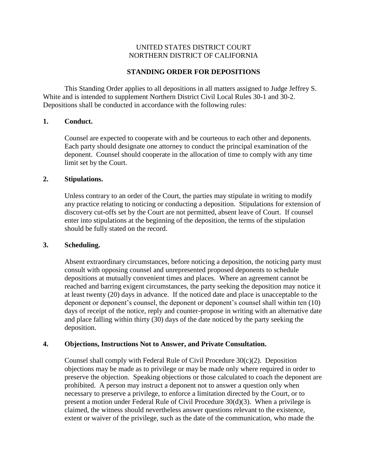## UNITED STATES DISTRICT COURT NORTHERN DISTRICT OF CALIFORNIA

# **STANDING ORDER FOR DEPOSITIONS**

This Standing Order applies to all depositions in all matters assigned to Judge Jeffrey S. White and is intended to supplement Northern District Civil Local Rules 30-1 and 30-2. Depositions shall be conducted in accordance with the following rules:

## **1. Conduct.**

Counsel are expected to cooperate with and be courteous to each other and deponents. Each party should designate one attorney to conduct the principal examination of the deponent. Counsel should cooperate in the allocation of time to comply with any time limit set by the Court.

### **2. Stipulations.**

Unless contrary to an order of the Court, the parties may stipulate in writing to modify any practice relating to noticing or conducting a deposition. Stipulations for extension of discovery cut-offs set by the Court are not permitted, absent leave of Court. If counsel enter into stipulations at the beginning of the deposition, the terms of the stipulation should be fully stated on the record.

## **3. Scheduling.**

Absent extraordinary circumstances, before noticing a deposition, the noticing party must consult with opposing counsel and unrepresented proposed deponents to schedule depositions at mutually convenient times and places. Where an agreement cannot be reached and barring exigent circumstances, the party seeking the deposition may notice it at least twenty (20) days in advance. If the noticed date and place is unacceptable to the deponent or deponent's counsel, the deponent or deponent's counsel shall within ten (10) days of receipt of the notice, reply and counter-propose in writing with an alternative date and place falling within thirty (30) days of the date noticed by the party seeking the deposition.

## **4. Objections, Instructions Not to Answer, and Private Consultation.**

Counsel shall comply with Federal Rule of Civil Procedure 30(c)(2). Deposition objections may be made as to privilege or may be made only where required in order to preserve the objection. Speaking objections or those calculated to coach the deponent are prohibited. A person may instruct a deponent not to answer a question only when necessary to preserve a privilege, to enforce a limitation directed by the Court, or to present a motion under Federal Rule of Civil Procedure 30(d)(3). When a privilege is claimed, the witness should nevertheless answer questions relevant to the existence, extent or waiver of the privilege, such as the date of the communication, who made the